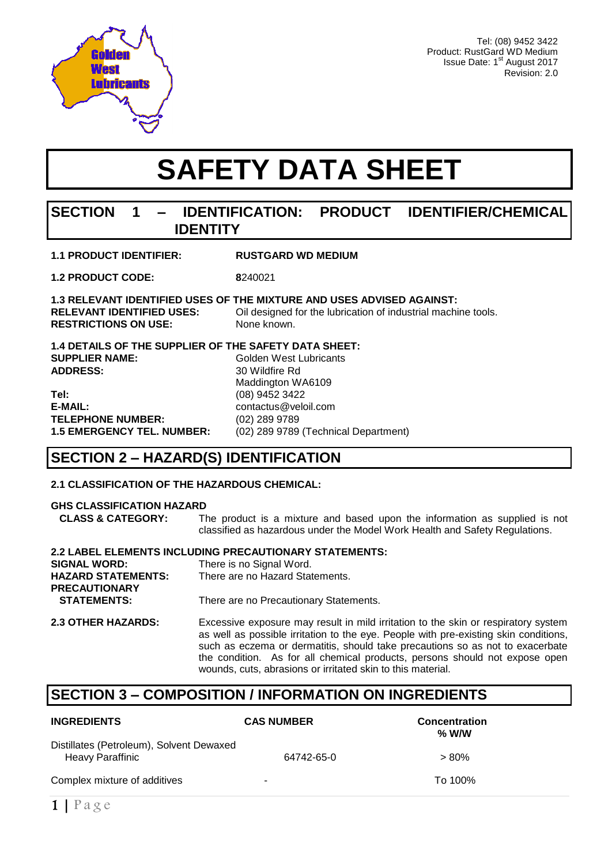

**RESTRICTIONS ON USE:** 

Tel: (08) 9452 3422 Product: RustGard WD Medium Issue Date: 1<sup>st</sup> August 2017 Revision: 2.0

# **SAFETY DATA SHEET**

### **SECTION 1 – IDENTIFICATION: PRODUCT IDENTIFIER/CHEMICAL IDENTITY**

| <b>1.1 PRODUCT IDENTIFIER:</b> | <b>RUSTGARD WD MEDIUM</b> |
|--------------------------------|---------------------------|
|                                |                           |

**1.2 PRODUCT CODE: 8**240021

### **1.3 RELEVANT IDENTIFIED USES OF THE MIXTURE AND USES ADVISED AGAINST:**

**RELEVANT IDENTIFIED USES:** Oil designed for the lubrication of industrial machine tools.<br>**RESTRICTIONS ON USE:** None known.

**1.4 DETAILS OF THE SUPPLIER OF THE SAFETY DATA SHEET: SUPPLIER NAME:** Golden West Lubricants **ADDRESS:** 30 Wildfire Rd Maddington WA6109 **Tel:** (08) 9452 3422 **E-MAIL:** contactus@veloil.com **TELEPHONE NUMBER:** (02) 289 9789

**1.5 EMERGENCY TEL. NUMBER:** (02) 289 9789 (Technical Department)

### **SECTION 2 – HAZARD(S) IDENTIFICATION**

### **2.1 CLASSIFICATION OF THE HAZARDOUS CHEMICAL:**

#### **GHS CLASSIFICATION HAZARD**

 **CLASS & CATEGORY:** The product is a mixture and based upon the information as supplied is not classified as hazardous under the Model Work Health and Safety Regulations.

### **2.2 LABEL ELEMENTS INCLUDING PRECAUTIONARY STATEMENTS:**

| <b>SIGNAL WORD:</b>       | There is no Signal Word.               |
|---------------------------|----------------------------------------|
| <b>HAZARD STATEMENTS:</b> | There are no Hazard Statements.        |
| <b>PRECAUTIONARY</b>      |                                        |
| <b>STATEMENTS:</b>        | There are no Precautionary Statements. |
|                           |                                        |

**2.3 OTHER HAZARDS:** Excessive exposure may result in mild irritation to the skin or respiratory system as well as possible irritation to the eye. People with pre-existing skin conditions, such as eczema or dermatitis, should take precautions so as not to exacerbate the condition. As for all chemical products, persons should not expose open wounds, cuts, abrasions or irritated skin to this material.

### **SECTION 3 – COMPOSITION / INFORMATION ON INGREDIENTS**

| <b>INGREDIENTS</b>                                                  | <b>CAS NUMBER</b>        | <b>Concentration</b><br>% W/W |
|---------------------------------------------------------------------|--------------------------|-------------------------------|
| Distillates (Petroleum), Solvent Dewaxed<br><b>Heavy Paraffinic</b> | 64742-65-0               | $> 80\%$                      |
| Complex mixture of additives                                        | $\overline{\phantom{a}}$ | To 100%                       |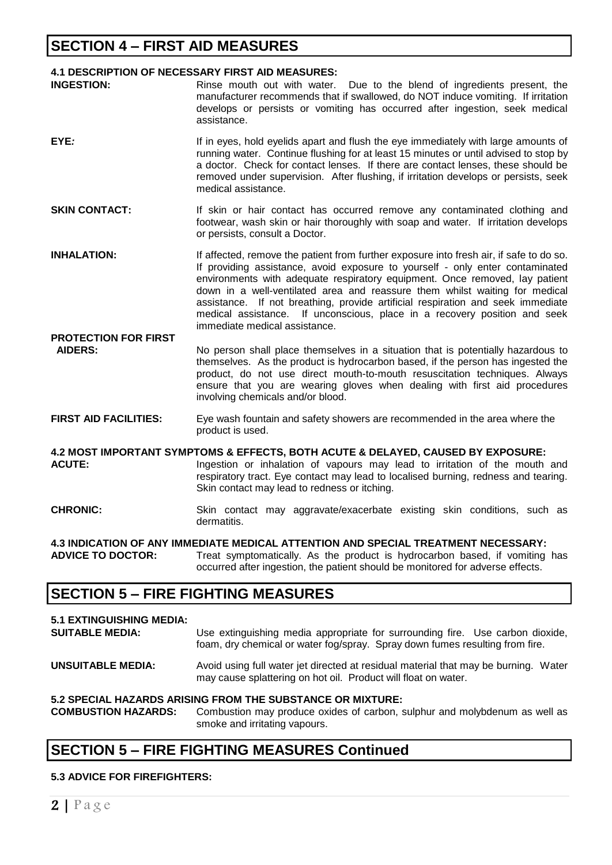### **SECTION 4 – FIRST AID MEASURES**

#### **4.1 DESCRIPTION OF NECESSARY FIRST AID MEASURES:**

- **INGESTION:** Rinse mouth out with water. Due to the blend of ingredients present, the manufacturer recommends that if swallowed, do NOT induce vomiting. If irritation develops or persists or vomiting has occurred after ingestion, seek medical assistance.
- **EYE**: If in eyes, hold eyelids apart and flush the eye immediately with large amounts of running water. Continue flushing for at least 15 minutes or until advised to stop by a doctor. Check for contact lenses. If there are contact lenses, these should be removed under supervision. After flushing, if irritation develops or persists, seek medical assistance.
- **SKIN CONTACT:** If skin or hair contact has occurred remove any contaminated clothing and footwear, wash skin or hair thoroughly with soap and water. If irritation develops or persists, consult a Doctor.
- **INHALATION:** If affected, remove the patient from further exposure into fresh air, if safe to do so. If providing assistance, avoid exposure to yourself - only enter contaminated environments with adequate respiratory equipment. Once removed, lay patient down in a well-ventilated area and reassure them whilst waiting for medical assistance. If not breathing, provide artificial respiration and seek immediate medical assistance. If unconscious, place in a recovery position and seek immediate medical assistance.
- **PROTECTION FOR FIRST AIDERS:** No person shall place themselves in a situation that is potentially hazardous to themselves. As the product is hydrocarbon based, if the person has ingested the product, do not use direct mouth-to-mouth resuscitation techniques. Always ensure that you are wearing gloves when dealing with first aid procedures involving chemicals and/or blood.
- **FIRST AID FACILITIES:** Eye wash fountain and safety showers are recommended in the area where the product is used.

**4.2 MOST IMPORTANT SYMPTOMS & EFFECTS, BOTH ACUTE & DELAYED, CAUSED BY EXPOSURE: ACUTE:** Ingestion or inhalation of vapours may lead to irritation of the mouth and respiratory tract. Eye contact may lead to localised burning, redness and tearing. Skin contact may lead to redness or itching.

**CHRONIC:** Skin contact may aggravate/exacerbate existing skin conditions, such as dermatitis.

**4.3 INDICATION OF ANY IMMEDIATE MEDICAL ATTENTION AND SPECIAL TREATMENT NECESSARY: ADVICE TO DOCTOR:** Treat symptomatically. As the product is hydrocarbon based, if vomiting has occurred after ingestion, the patient should be monitored for adverse effects.

### **SECTION 5 – FIRE FIGHTING MEASURES**

| <b>5.1 EXTINGUISHING MEDIA:</b><br><b>SUITABLE MEDIA:</b> | Use extinguishing media appropriate for surrounding fire. Use carbon dioxide,<br>foam, dry chemical or water fog/spray. Spray down fumes resulting from fire. |
|-----------------------------------------------------------|---------------------------------------------------------------------------------------------------------------------------------------------------------------|
| <b>UNSUITABLE MEDIA:</b>                                  | Avoid using full water jet directed at residual material that may be burning. Water<br>may cause splattering on hot oil. Product will float on water.         |
| <b>COMBUSTION HAZARDS:</b>                                | 5.2 SPECIAL HAZARDS ARISING FROM THE SUBSTANCE OR MIXTURE:<br>Combustion may produce oxides of carbon, sulphur and molybdenum as well as                      |

## smoke and irritating vapours.

### **SECTION 5 – FIRE FIGHTING MEASURES Continued**

#### **5.3 ADVICE FOR FIREFIGHTERS:**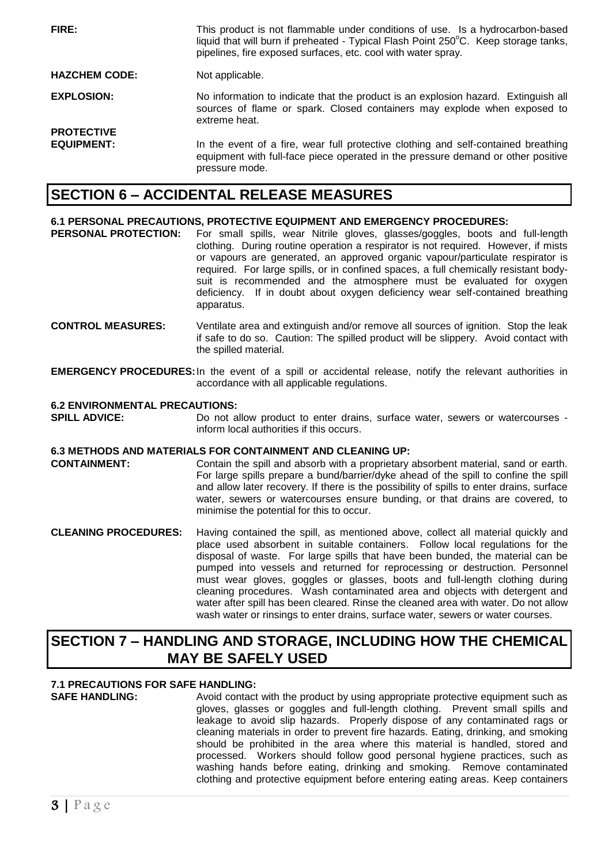**FIRE:** This product is not flammable under conditions of use. Is a hydrocarbon-based liquid that will burn if preheated - Typical Flash Point 250°C. Keep storage tanks, pipelines, fire exposed surfaces, etc. cool with water spray. **HAZCHEM CODE:** Not applicable. **EXPLOSION:** No information to indicate that the product is an explosion hazard. Extinguish all sources of flame or spark. Closed containers may explode when exposed to extreme heat. **PROTECTIVE EQUIPMENT:** In the event of a fire, wear full protective clothing and self-contained breathing equipment with full-face piece operated in the pressure demand or other positive pressure mode.

### **SECTION 6 – ACCIDENTAL RELEASE MEASURES**

#### **6.1 PERSONAL PRECAUTIONS, PROTECTIVE EQUIPMENT AND EMERGENCY PROCEDURES:**

- **PERSONAL PROTECTION:** For small spills, wear Nitrile gloves, glasses/goggles, boots and full-length clothing. During routine operation a respirator is not required. However, if mists or vapours are generated, an approved organic vapour/particulate respirator is required. For large spills, or in confined spaces, a full chemically resistant bodysuit is recommended and the atmosphere must be evaluated for oxygen deficiency. If in doubt about oxygen deficiency wear self-contained breathing apparatus.
- **CONTROL MEASURES:** Ventilate area and extinguish and/or remove all sources of ignition. Stop the leak if safe to do so. Caution: The spilled product will be slippery. Avoid contact with the spilled material.
- **EMERGENCY PROCEDURES:**In the event of a spill or accidental release, notify the relevant authorities in accordance with all applicable regulations.

#### **6.2 ENVIRONMENTAL PRECAUTIONS:**

**SPILL ADVICE:** Do not allow product to enter drains, surface water, sewers or watercourses inform local authorities if this occurs.

#### **6.3 METHODS AND MATERIALS FOR CONTAINMENT AND CLEANING UP:**

- **CONTAINMENT:** Contain the spill and absorb with a proprietary absorbent material, sand or earth. For large spills prepare a bund/barrier/dyke ahead of the spill to confine the spill and allow later recovery. If there is the possibility of spills to enter drains, surface water, sewers or watercourses ensure bunding, or that drains are covered, to minimise the potential for this to occur.
- **CLEANING PROCEDURES:** Having contained the spill, as mentioned above, collect all material quickly and place used absorbent in suitable containers. Follow local regulations for the disposal of waste. For large spills that have been bunded, the material can be pumped into vessels and returned for reprocessing or destruction. Personnel must wear gloves, goggles or glasses, boots and full-length clothing during cleaning procedures. Wash contaminated area and objects with detergent and water after spill has been cleared. Rinse the cleaned area with water. Do not allow wash water or rinsings to enter drains, surface water, sewers or water courses.

### **SECTION 7 – HANDLING AND STORAGE, INCLUDING HOW THE CHEMICAL MAY BE SAFELY USED**

#### **7.1 PRECAUTIONS FOR SAFE HANDLING:**

**SAFE HANDLING:** Avoid contact with the product by using appropriate protective equipment such as gloves, glasses or goggles and full-length clothing. Prevent small spills and leakage to avoid slip hazards. Properly dispose of any contaminated rags or cleaning materials in order to prevent fire hazards. Eating, drinking, and smoking should be prohibited in the area where this material is handled, stored and processed. Workers should follow good personal hygiene practices, such as washing hands before eating, drinking and smoking. Remove contaminated clothing and protective equipment before entering eating areas. Keep containers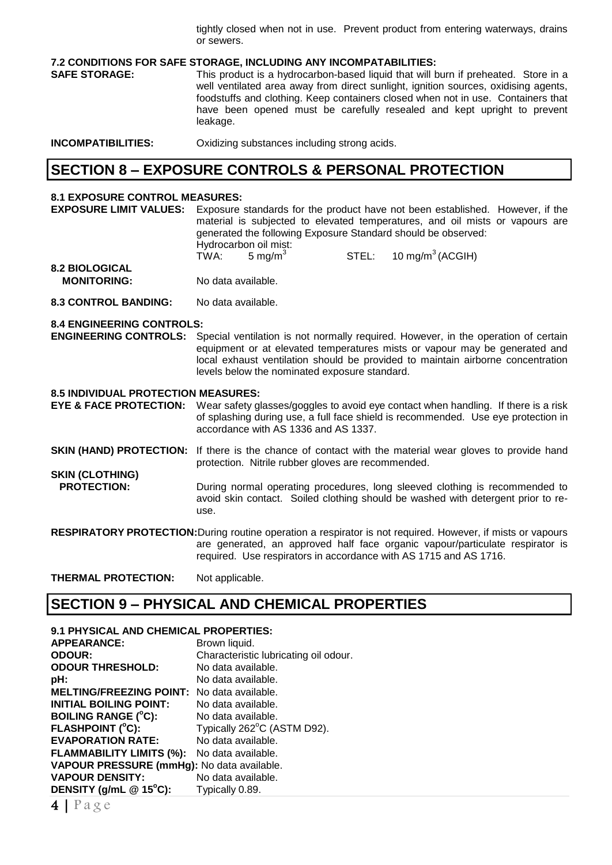tightly closed when not in use. Prevent product from entering waterways, drains or sewers.

#### **7.2 CONDITIONS FOR SAFE STORAGE, INCLUDING ANY INCOMPATABILITIES:**

**SAFE STORAGE:** This product is a hydrocarbon-based liquid that will burn if preheated. Store in a well ventilated area away from direct sunlight, ignition sources, oxidising agents, foodstuffs and clothing. Keep containers closed when not in use. Containers that have been opened must be carefully resealed and kept upright to prevent leakage.

**INCOMPATIBILITIES:** Oxidizing substances including strong acids.

### **SECTION 8 – EXPOSURE CONTROLS & PERSONAL PROTECTION**

#### **8.1 EXPOSURE CONTROL MEASURES:**

**EXPOSURE LIMIT VALUES:** Exposure standards for the product have not been established. However, if the material is subjected to elevated temperatures, and oil mists or vapours are generated the following Exposure Standard should be observed: Hydrocarbon oil mist:  $TWA: 5$  mg/m<sup>3</sup>  $STEL: 10 mg/m<sup>3</sup> (ACGIH)$ **8.2 BIOLOGICAL** 

- **MONITORING:** No data available.
- **8.3 CONTROL BANDING:** No data available.

#### **8.4 ENGINEERING CONTROLS:**

**ENGINEERING CONTROLS:** Special ventilation is not normally required. However, in the operation of certain equipment or at elevated temperatures mists or vapour may be generated and local exhaust ventilation should be provided to maintain airborne concentration levels below the nominated exposure standard.

#### **8.5 INDIVIDUAL PROTECTION MEASURES:**

**EYE & FACE PROTECTION:** Wear safety glasses/goggles to avoid eye contact when handling. If there is a risk of splashing during use, a full face shield is recommended. Use eye protection in accordance with AS 1336 and AS 1337.

**SKIN (HAND) PROTECTION:** If there is the chance of contact with the material wear gloves to provide hand protection. Nitrile rubber gloves are recommended.

**SKIN (CLOTHING) PROTECTION:** During normal operating procedures, long sleeved clothing is recommended to avoid skin contact. Soiled clothing should be washed with detergent prior to reuse.

**RESPIRATORY PROTECTION:**During routine operation a respirator is not required. However, if mists or vapours are generated, an approved half face organic vapour/particulate respirator is required. Use respirators in accordance with AS 1715 and AS 1716.

**THERMAL PROTECTION:** Not applicable.

### **SECTION 9 – PHYSICAL AND CHEMICAL PROPERTIES**

### **9.1 PHYSICAL AND CHEMICAL PROPERTIES:**

**APPEARANCE:** Brown liquid. **ODOUR:** Characteristic lubricating oil odour. **ODOUR THRESHOLD:** No data available. **pH:** No data available. **MELTING/FREEZING POINT:** No data available. **INITIAL BOILING POINT:** No data available. **BOILING RANGE (<sup>o</sup>C):** No data available. **FLASHPOINT (°C):** Typically 262°C (ASTM D92). **EVAPORATION RATE:** No data available. **FLAMMABILITY LIMITS (%):** No data available. **VAPOUR PRESSURE (mmHg):** No data available. **VAPOUR DENSITY:** No data available. **DENSITY (g/mL @ 15<sup>o</sup>C):** Typically 0.89.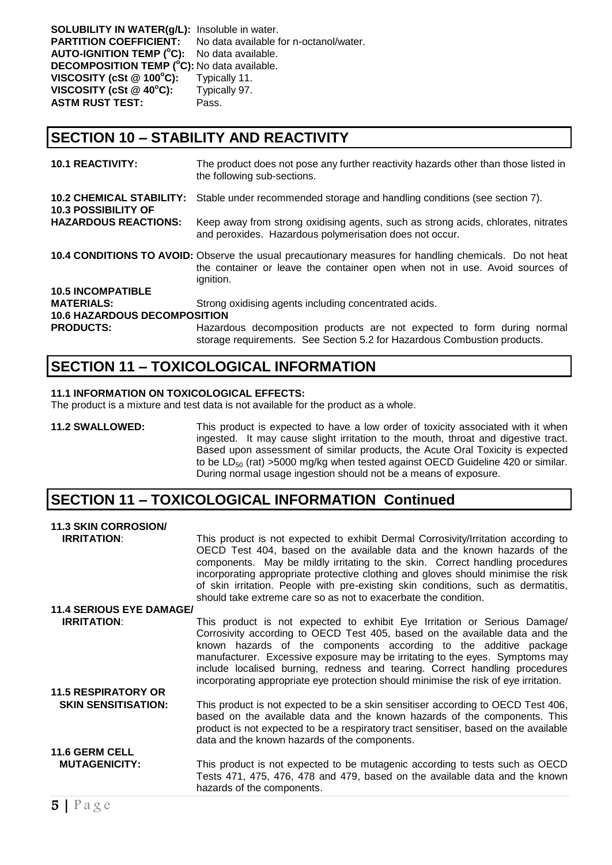**SOLUBILITY IN WATER(g/L):** Insoluble in water. **PARTITION COEFFICIENT:** No data available for n-octanol/water. **AUTO-IGNITION TEMP ( <sup>o</sup>C):** No data available. **DECOMPOSITION TEMP ( <sup>o</sup>C):** No data available. **VISCOSITY (cSt @ 100<sup>o</sup>C):** Typically 11. **VISCOSITY (cSt @ 40<sup>o</sup>C):** Typically 97. **ASTM RUST TEST:** Pass.

### **SECTION 10 – STABILITY AND REACTIVITY**

| <b>10.1 REACTIVITY:</b>                                                                                                                                                                            | The product does not pose any further reactivity hazards other than those listed in<br>the following sub-sections.                                  |  |
|----------------------------------------------------------------------------------------------------------------------------------------------------------------------------------------------------|-----------------------------------------------------------------------------------------------------------------------------------------------------|--|
| <b>10.2 CHEMICAL STABILITY:</b><br><b>10.3 POSSIBILITY OF</b>                                                                                                                                      | Stable under recommended storage and handling conditions (see section 7).                                                                           |  |
| <b>HAZARDOUS REACTIONS:</b>                                                                                                                                                                        | Keep away from strong oxidising agents, such as strong acids, chlorates, nitrates<br>and peroxides. Hazardous polymerisation does not occur.        |  |
| 10.4 CONDITIONS TO AVOID: Observe the usual precautionary measures for handling chemicals. Do not heat<br>the container or leave the container open when not in use. Avoid sources of<br>ignition. |                                                                                                                                                     |  |
| <b>10.5 INCOMPATIBLE</b>                                                                                                                                                                           |                                                                                                                                                     |  |
| <b>MATERIALS:</b>                                                                                                                                                                                  | Strong oxidising agents including concentrated acids.                                                                                               |  |
| <b>10.6 HAZARDOUS DECOMPOSITION</b>                                                                                                                                                                |                                                                                                                                                     |  |
| <b>PRODUCTS:</b>                                                                                                                                                                                   | Hazardous decomposition products are not expected to form during normal<br>storage requirements. See Section 5.2 for Hazardous Combustion products. |  |

### **SECTION 11 – TOXICOLOGICAL INFORMATION**

#### **11.1 INFORMATION ON TOXICOLOGICAL EFFECTS:**

The product is a mixture and test data is not available for the product as a whole.

**11.2 SWALLOWED:** This product is expected to have a low order of toxicity associated with it when ingested. It may cause slight irritation to the mouth, throat and digestive tract. Based upon assessment of similar products, the Acute Oral Toxicity is expected to be  $LD_{50}$  (rat) >5000 mg/kg when tested against OECD Guideline 420 or similar. During normal usage ingestion should not be a means of exposure.

### **SECTION 11 – TOXICOLOGICAL INFORMATION Continued**

| <b>11.3 SKIN CORROSION/</b>     |                                                                                                                                                                                                                                                                                                                                                                                                                                                                                             |
|---------------------------------|---------------------------------------------------------------------------------------------------------------------------------------------------------------------------------------------------------------------------------------------------------------------------------------------------------------------------------------------------------------------------------------------------------------------------------------------------------------------------------------------|
| <b>IRRITATION:</b>              | This product is not expected to exhibit Dermal Corrosivity/Irritation according to<br>OECD Test 404, based on the available data and the known hazards of the<br>components. May be mildly irritating to the skin. Correct handling procedures<br>incorporating appropriate protective clothing and gloves should minimise the risk<br>of skin irritation. People with pre-existing skin conditions, such as dermatitis,<br>should take extreme care so as not to exacerbate the condition. |
| <b>11.4 SERIOUS EYE DAMAGE/</b> |                                                                                                                                                                                                                                                                                                                                                                                                                                                                                             |
| <b>IRRITATION:</b>              | This product is not expected to exhibit Eye Irritation or Serious Damage/<br>Corrosivity according to OECD Test 405, based on the available data and the<br>known hazards of the components according to the additive package<br>manufacturer. Excessive exposure may be irritating to the eyes. Symptoms may<br>include localised burning, redness and tearing. Correct handling procedures<br>incorporating appropriate eye protection should minimise the risk of eye irritation.        |
| <b>11.5 RESPIRATORY OR</b>      |                                                                                                                                                                                                                                                                                                                                                                                                                                                                                             |
| <b>SKIN SENSITISATION:</b>      | This product is not expected to be a skin sensitiser according to OECD Test 406,<br>based on the available data and the known hazards of the components. This<br>product is not expected to be a respiratory tract sensitiser, based on the available<br>data and the known hazards of the components.                                                                                                                                                                                      |
| <b>11.6 GERM CELL</b>           |                                                                                                                                                                                                                                                                                                                                                                                                                                                                                             |
| <b>MUTAGENICITY:</b>            | This product is not expected to be mutagenic according to tests such as OECD<br>Tests 471, 475, 476, 478 and 479, based on the available data and the known<br>hazards of the components.                                                                                                                                                                                                                                                                                                   |
|                                 |                                                                                                                                                                                                                                                                                                                                                                                                                                                                                             |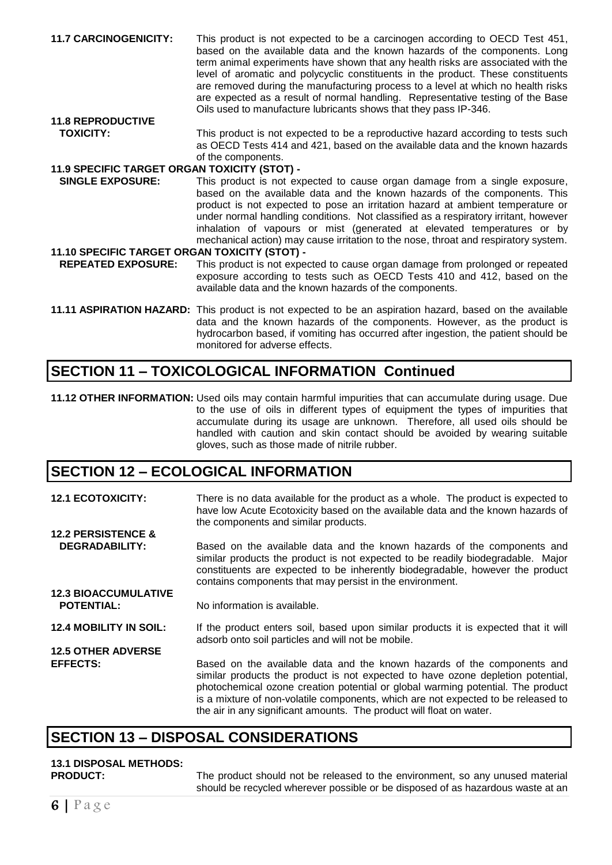**11.7 CARCINOGENICITY:** This product is not expected to be a carcinogen according to OECD Test 451, based on the available data and the known hazards of the components. Long term animal experiments have shown that any health risks are associated with the level of aromatic and polycyclic constituents in the product. These constituents are removed during the manufacturing process to a level at which no health risks are expected as a result of normal handling. Representative testing of the Base Oils used to manufacture lubricants shows that they pass IP-346.

## **11.8 REPRODUCTIVE**

**TOXICITY:** This product is not expected to be a reproductive hazard according to tests such as OECD Tests 414 and 421, based on the available data and the known hazards of the components.

### **11.9 SPECIFIC TARGET ORGAN TOXICITY (STOT) -**

 **SINGLE EXPOSURE:** This product is not expected to cause organ damage from a single exposure, based on the available data and the known hazards of the components. This product is not expected to pose an irritation hazard at ambient temperature or under normal handling conditions. Not classified as a respiratory irritant, however inhalation of vapours or mist (generated at elevated temperatures or by mechanical action) may cause irritation to the nose, throat and respiratory system.

#### **11.10 SPECIFIC TARGET ORGAN TOXICITY (STOT) -**

 **REPEATED EXPOSURE:** This product is not expected to cause organ damage from prolonged or repeated exposure according to tests such as OECD Tests 410 and 412, based on the available data and the known hazards of the components.

**11.11 ASPIRATION HAZARD:** This product is not expected to be an aspiration hazard, based on the available data and the known hazards of the components. However, as the product is hydrocarbon based, if vomiting has occurred after ingestion, the patient should be monitored for adverse effects.

### **SECTION 11 – TOXICOLOGICAL INFORMATION Continued**

**11.12 OTHER INFORMATION:** Used oils may contain harmful impurities that can accumulate during usage. Due to the use of oils in different types of equipment the types of impurities that accumulate during its usage are unknown. Therefore, all used oils should be handled with caution and skin contact should be avoided by wearing suitable gloves, such as those made of nitrile rubber.

### **SECTION 12 – ECOLOGICAL INFORMATION**

**12.1 ECOTOXICITY:** There is no data available for the product as a whole. The product is expected to have low Acute Ecotoxicity based on the available data and the known hazards of the components and similar products. **12.2 PERSISTENCE & DEGRADABILITY:** Based on the available data and the known hazards of the components and similar products the product is not expected to be readily biodegradable. Major constituents are expected to be inherently biodegradable, however the product contains components that may persist in the environment. **12.3 BIOACCUMULATIVE POTENTIAL:** No information is available. **12.4 MOBILITY IN SOIL:** If the product enters soil, based upon similar products it is expected that it will adsorb onto soil particles and will not be mobile. **12.5 OTHER ADVERSE EFFECTS:** Based on the available data and the known hazards of the components and similar products the product is not expected to have ozone depletion potential, photochemical ozone creation potential or global warming potential. The product is a mixture of non-volatile components, which are not expected to be released to

### **SECTION 13 – DISPOSAL CONSIDERATIONS**

## **13.1 DISPOSAL METHODS:**

**PRODUCT:** The product should not be released to the environment, so any unused material should be recycled wherever possible or be disposed of as hazardous waste at an

the air in any significant amounts. The product will float on water.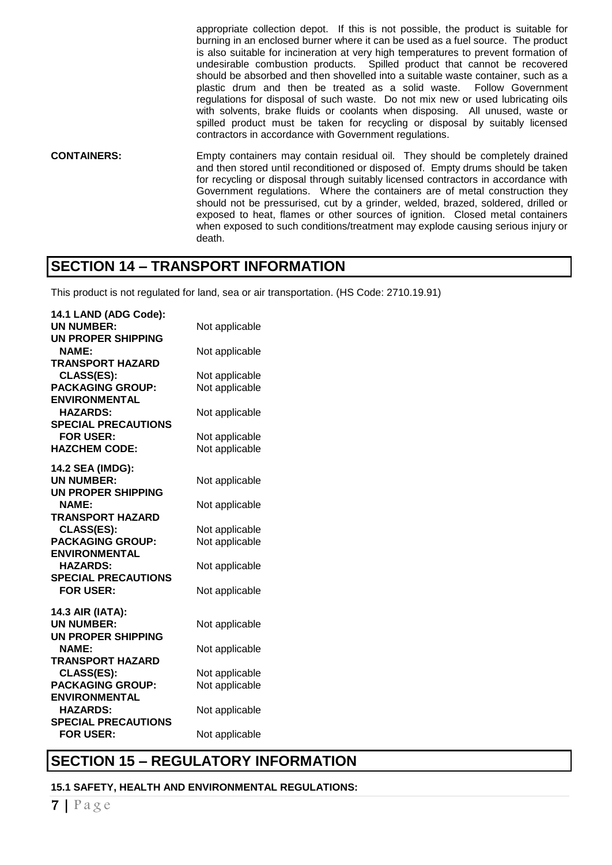appropriate collection depot. If this is not possible, the product is suitable for burning in an enclosed burner where it can be used as a fuel source. The product is also suitable for incineration at very high temperatures to prevent formation of undesirable combustion products. Spilled product that cannot be recovered should be absorbed and then shovelled into a suitable waste container, such as a plastic drum and then be treated as a solid waste. Follow Government regulations for disposal of such waste. Do not mix new or used lubricating oils with solvents, brake fluids or coolants when disposing. All unused, waste or spilled product must be taken for recycling or disposal by suitably licensed contractors in accordance with Government regulations.

**CONTAINERS:** Empty containers may contain residual oil. They should be completely drained and then stored until reconditioned or disposed of. Empty drums should be taken for recycling or disposal through suitably licensed contractors in accordance with Government regulations. Where the containers are of metal construction they should not be pressurised, cut by a grinder, welded, brazed, soldered, drilled or exposed to heat, flames or other sources of ignition. Closed metal containers when exposed to such conditions/treatment may explode causing serious injury or death.

### **SECTION 14 – TRANSPORT INFORMATION**

This product is not regulated for land, sea or air transportation. (HS Code: 2710.19.91)

| 14.1 LAND (ADG Code):                   |                |
|-----------------------------------------|----------------|
| <b>UN NUMBER:</b>                       | Not applicable |
| <b>UN PROPER SHIPPING</b>               |                |
| <b>NAME:</b>                            | Not applicable |
| <b>TRANSPORT HAZARD</b>                 |                |
| <b>CLASS(ES):</b>                       | Not applicable |
| <b>PACKAGING GROUP:</b>                 | Not applicable |
| <b>ENVIRONMENTAL</b>                    |                |
| <b>HAZARDS:</b>                         | Not applicable |
| <b>SPECIAL PRECAUTIONS</b>              |                |
| <b>FOR USER:</b>                        | Not applicable |
| <b>HAZCHEM CODE:</b>                    | Not applicable |
| 14.2 SEA (IMDG):                        |                |
| <b>UN NUMBER:</b>                       | Not applicable |
| <b>UN PROPER SHIPPING</b>               |                |
| <b>NAME:</b>                            | Not applicable |
| <b>TRANSPORT HAZARD</b>                 |                |
| <b>CLASS(ES):</b>                       | Not applicable |
| <b>PACKAGING GROUP:</b>                 | Not applicable |
| <b>ENVIRONMENTAL</b>                    |                |
| <b>HAZARDS:</b>                         | Not applicable |
| <b>SPECIAL PRECAUTIONS</b>              |                |
| <b>FOR USER:</b>                        | Not applicable |
|                                         |                |
| 14.3 AIR (IATA):                        |                |
| <b>UN NUMBER:</b>                       | Not applicable |
| <b>UN PROPER SHIPPING</b>               |                |
| <b>NAME:</b>                            | Not applicable |
| <b>TRANSPORT HAZARD</b>                 |                |
| <b>CLASS(ES):</b>                       | Not applicable |
| <b>PACKAGING GROUP:</b>                 | Not applicable |
| <b>ENVIRONMENTAL</b><br><b>HAZARDS:</b> |                |
| <b>SPECIAL PRECAUTIONS</b>              | Not applicable |
| <b>FOR USER:</b>                        |                |
|                                         | Not applicable |

### **SECTION 15 – REGULATORY INFORMATION**

**15.1 SAFETY, HEALTH AND ENVIRONMENTAL REGULATIONS:**